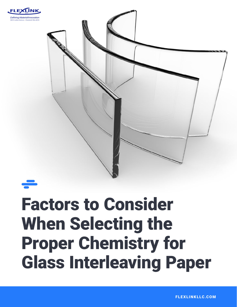



# Factors to Consider When Selecting the Proper Chemistry for Glass Interleaving Paper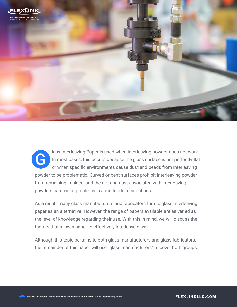

lass Interleaving Paper is used when interleaving powder does not work. In most cases, this occurs because the glass surface is not perfectly flat or when specific environments cause dust and beads from interleaving powder to be problematic. Curved or bent surfaces prohibit interleaving powder from remaining in place, and the dirt and dust associated with interleaving powders can cause problems in a multitude of situations. G

As a result, many glass manufacturers and fabricators turn to glass interleaving paper as an alternative. However, the range of papers available are as varied as the level of knowledge regarding their use. With this in mind, we will discuss the factors that allow a paper to effectively interleave glass.

Although this topic pertains to both glass manufacturers and glass fabricators, the remainder of this paper will use "glass manufacturers" to cover both groups.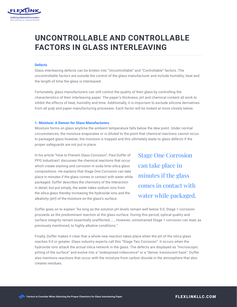

# **UNCONTROLLABLE AND CONTROLLABLE FACTORS IN GLASS INTERLEAVING**

### **Defects**

Glass interleaving defects can be broken into "Uncontrollable" and "Controllable" factors. The uncontrollable factors are outside the control of the glass manufacturer and include humidity, heat and the length of time the glass is interleaved.

Fortunately, glass manufacturers can still control the quality of their glass by controlling the characteristics of their interleaving paper. The paper's thickness, pH and chemical content all work to inhibit the effects of heat, humidity and time. Additionally, it is important to exclude silicone derivatives from all pulp and paper manufacturing processes. Each factor will be looked at more closely below.

#### **1. Moisture: A Demon for Glass Manufacturers**

Moisture forms on glass anytime the ambient temperature falls below the dew point. Under normal circumstances, the moisture evaporates or is diluted to the point that chemical reactions cannot occur. In packaged glass however, the moisture is trapped and this ultimately leads to glass defects if the proper safeguards are not put in place.

In his article "How to Prevent Glass Corrosion", Paul Duffer of PPG Industries1 discusses the chemical reactions that occur which create staining and corrosion in soda-lime-silica glass compositions. He explains that Stage One Corrosion can take place in minutes if the glass comes in contact with water while packaged. Duffer describes the chemistry of the interaction in detail, but put simply, the water takes sodium ions from the silica glass thereby increasing the hydroxide ions and the alkalinity (pH) of the moisture on the glass's surface.

Stage One Corrosion can take place in minutes if the glass comes in contact with water while packaged.

Duffer goes on to explain "As long as the solution pH levels remain well below 9.0, Stage 1 corrosion proceeds as the predominant reaction at the glass surface. During this period, optical quality and surface integrity remain essentially unaffected……..However, unrestrained Stage 1 corrosion can lead, as previously mentioned, to highly alkaline conditions."

Finally, Duffer makes it clear that a whole new reaction takes place when the pH of the silica glass reaches 9.0 or greater. Glass industry experts call this "Stage Two Corrosion". It occurs when the hydroxide ions attack the actual silica network in the glass. The defects are displayed as "microscopic pitting of the surface" and evolve into a "widespread iridescence" or a "dense, translucent haze". Duffer also mentions reactions that occur with the moisture from carbon dioxide in the atmosphere that also creates residues.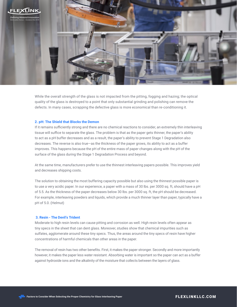

While the overall strength of the glass is not impacted from the pitting, fogging and hazing; the optical quality of the glass is destroyed to a point that only substantial grinding and polishing can remove the defects. In many cases, scrapping the defective glass is more economical than re-conditioning it.

#### **2. pH: The Shield that Blocks the Demon**

If it remains sufficiently strong and there are no chemical reactions to consider, an extremely thin interleaving tissue will suffice to separate the glass. The problem is that as the paper gets thinner, the paper's ability to act as a pH buffer decreases and as a result, the paper's ability to prevent Stage 1 Degradation also decreases. The reverse is also true—as the thickness of the paper grows, its ability to act as a buffer improves. This happens because the pH of the entire mass of paper changes along with the pH of the surface of the glass during the Stage 1 Degradation Process and beyond.

At the same time, manufacturers prefer to use the thinnest interleaving papers possible. This improves yield and decreases shipping costs.

The solution to obtaining the most buffering capacity possible but also using the thinnest possible paper is to use a very acidic paper. In our experience, a paper with a mass of 30 lbs. per 3000 sq. ft, should have a pH of 5.5. As the thickness of the paper decreases below 30 lbs. per 3000 sq. ft, the pH should be decreased. For example, interleaving powders and liquids, which provide a much thinner layer than paper, typically have a pH of 5.0. (Helmut)

### **3. Resin - The Devil's Trident**

Moderate to high resin levels can cause pitting and corrosion as well. High resin levels often appear as tiny specs in the sheet that can dent glass. Moreover, studies show that chemical impurities such as sulfates, agglomerate around these tiny specs. Thus, the areas around the tiny specs of resin have higher concentrations of harmful chemicals than other areas in the paper.

The removal of resin has two other benefits. First, it makes the paper stronger. Secondly and more importantly however, it makes the paper less water resistant. Absorbing water is important so the paper can act as a buffer against hydroxide ions and the alkalinity of the moisture that collects between the layers of glass.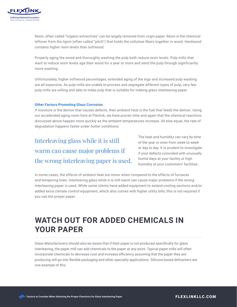

Resin, often called "organic extractives" can be largely removed from virgin paper. Resin is the chemical leftover from the lignin (often called "pitch") that holds the cellulose fibers together in wood. Hardwood contains higher resin levels than softwood.

Properly aging the wood and thoroughly washing the pulp both reduce resin levels. Pulp mills that want to reduce resin levels age their wood for a year or more and send the pulp through significantly more washing.

Unfortunately, higher softwood percentages, extended aging of the logs and increased pulp washing are all expensive. As pulp mills are unable to process and segregate different types of pulp, very few pulp mills are willing and able to make pulp that is suitable for making glass interleaving paper.

### **Other Factors Promoting Glass Corrosion**

If moisture is the demon that causes defects, then ambient heat is the fuel that feeds the demon. Using our accelerated aging room here at Flexlink, we have proven time and again that the chemical reactions discussed above happen more quickly as the ambient temperatures increase. All else equal, the rate of degradation happens faster under hotter conditions.

### Interleaving glass while it is still warm can cause major problems if the wrong interleaving paper is used.

The heat and humidity can vary by time of the year or even from week to week or day to day. It is prudent to investigate if your defects coincided with unusually humid days at your facility or high humidity at your customers' facilities.

In some cases, the effects of ambient heat are minor when compared to the effects of furnaces and tempering lines. Interleaving glass while it is still warm can cause major problems if the wrong interleaving paper is used. While some clients have added equipment to extend cooling sections and/or added extra climate control equipment, which also comes with higher utility bills; this is not required if you use the proper paper.

## **WATCH OUT FOR ADDED CHEMICALS IN YOUR PAPER**

Glass Manufacturers should also be aware that if their paper is not produced specifically for glass interleaving, the paper mill can add chemicals to the paper at any point. Typical paper mills will often incorporate chemicals to decrease cost and increase efficiency assuming that the paper they are producing will go into flexible packaging and other specialty applications. Silicone based defoamers are one example of this.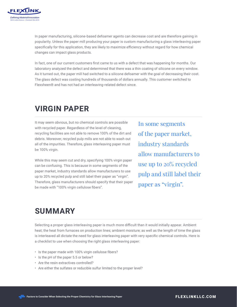

In paper manufacturing, silicone-based defoamer agents can decrease cost and are therefore gaining in popularity. Unless the paper mill producing your paper is custom manufacturing a glass interleaving paper specifically for this application, they are likely to maximize efficiency without regard for how chemical changes can impact glass products.

In fact, one of our current customers first came to us with a defect that was happening for months. Our laboratory analyzed the defect and determined that there was a thin coating of silicone on every window. As it turned out, the paper mill had switched to a silicone defoamer with the goal of decreasing their cost. The glass defect was costing hundreds of thousands of dollars annually. This customer switched to Flexsheen® and has not had an interleaving-related defect since.

### **VIRGIN PAPER**

It may seem obvious, but no chemical controls are possible with recycled paper. Regardless of the level of cleaning, recycling facilities are not able to remove 100% of the dirt and debris. Moreover, recycled pulp mills are not able to wash out all of the impurities. Therefore, glass interleaving paper must be 100% virgin.

While this may seem cut and dry, specifying 100% virgin paper can be confusing. This is because in some segments of the paper market, industry standards allow manufacturers to use up to 20% recycled pulp and still label their paper as "virgin". Therefore, glass manufacturers should specify that their paper be made with "100% virgin cellulose fibers".

In some segments of the paper market, industry standards allow manufacturers to use up to 20% recycled pulp and still label their paper as "virgin".

### **SUMMARY**

Selecting a proper glass interleaving paper is much more difficult than it would initially appear. Ambient heat; the heat from furnaces on production lines; ambient moisture; as well as the length of time the glass is interleaved all dictate the need for glass interleaving paper with very specific chemical controls. Here is a checklist to use when choosing the right glass interleaving paper:

- Is the paper made with 100% virgin cellulose fibers?
- Is the pH of the paper 5.5 or below?
- Are the resin extractives controlled?
- Are either the sulfates or reducible sulfur limited to the proper level?